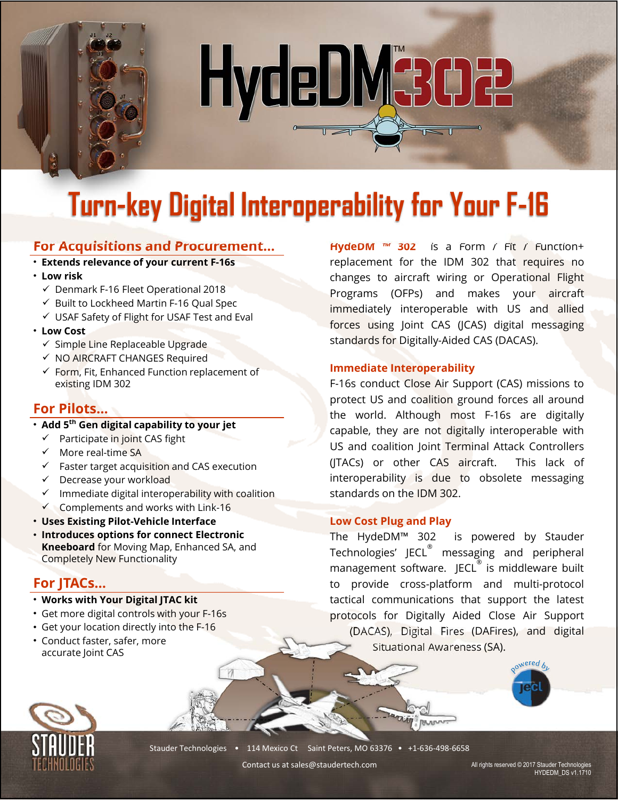# HydeDM3002

# **Turn-key Digital Interoperability for Your F-16**

### **For Acquisitions and Procurement…**

- **Extends relevance of your current F-16s**
- **Low risk** 
	- $\checkmark$  Denmark F-16 Fleet Operational 2018
	- $\checkmark$  Built to Lockheed Martin F-16 Qual Spec
	- USAF Safety of Flight for USAF Test and Eval
- **Low Cost** 
	- ✔ Simple Line Replaceable Upgrade
	- $\checkmark$  NO AIRCRAFT CHANGES Required
	- $\checkmark$  Form, Fit, Enhanced Function replacement of existing IDM 302

# **For Pilots…**

- **Add 5th Gen digital capability to your jet** 
	- $\checkmark$  Participate in joint CAS fight
	- $\checkmark$  More real-time SA
	- $\checkmark$  Faster target acquisition and CAS execution
	- $\checkmark$  Decrease your workload
	- $\checkmark$  Immediate digital interoperability with coalition
	- Complements and works with Link-16
- **Uses Existing Pilot-Vehicle Interface**
- **Introduces options for connect Electronic Kneeboard** for Moving Map, Enhanced SA, and Completely New Functionality

# **For JTACs…**

- **Works with Your Digital JTAC kit**
- Get more digital controls with your F-16s
- Get your location directly into the F-16
- Conduct faster, safer, more accurate Joint CAS

**HydeDM ™ 302** is a Form / Fit / Function+ replacement for the IDM 302 that requires no changes to aircraft wiring or Operational Flight Programs (OFPs) and makes your aircraft immediately interoperable with US and allied forces using Joint CAS (JCAS) digital messaging standards for Digitally-Aided CAS (DACAS).

### **Immediate Interoperability**

F-16s conduct Close Air Support (CAS) missions to protect US and coalition ground forces all around the world. Although most F-16s are digitally capable, they are not digitally interoperable with US and coalition Joint Terminal Attack Controllers (JTACs) or other CAS aircraft. This lack of interoperability is due to obsolete messaging standards on the IDM 302.

### **Low Cost Plug and Play**

The HydeDM™ 302 is powered by Stauder Technologies' JECL $^\circ$  messaging and peripheral management software. JECL $^\circ$  is middleware built to provide cross-platform and multi-protocol tactical communications that support the latest protocols for Digitally Aided Close Air Support (DACAS), Digital Fires (DAFires), and digital Situational Awareness (SA).

**BUDUV:** 





Stauder Technologies • 114 Mexico Ct Saint Peters, MO 63376 • +1-636-498-6658

Contact us at sales@staudertech.com

All rights reserved © 2017 Stauder Technologies HYDEDM\_DS v1.1710